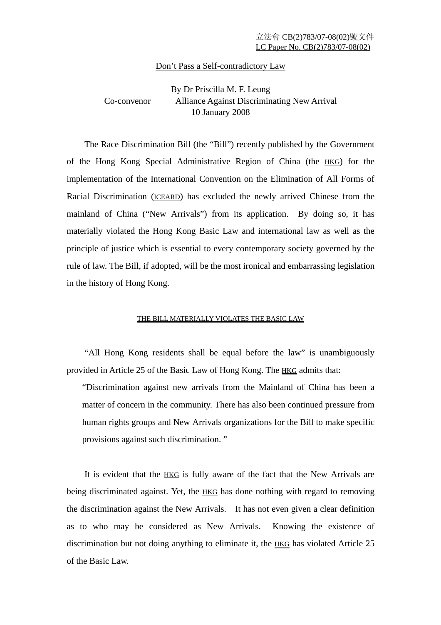## Don't Pass a Self-contradictory Law

# By Dr Priscilla M. F. Leung Co-convenor Alliance Against Discriminating New Arrival 10 January 2008

 The Race Discrimination Bill (the "Bill") recently published by the Government of the Hong Kong Special Administrative Region of China (the HKG) for the implementation of the International Convention on the Elimination of All Forms of Racial Discrimination (ICEARD) has excluded the newly arrived Chinese from the mainland of China ("New Arrivals") from its application. By doing so, it has materially violated the Hong Kong Basic Law and international law as well as the principle of justice which is essential to every contemporary society governed by the rule of law. The Bill, if adopted, will be the most ironical and embarrassing legislation in the history of Hong Kong.

#### THE BILL MATERIALLY VIOLATES THE BASIC LAW

 "All Hong Kong residents shall be equal before the law" is unambiguously provided in Article 25 of the Basic Law of Hong Kong. The HKG admits that:

"Discrimination against new arrivals from the Mainland of China has been a matter of concern in the community. There has also been continued pressure from human rights groups and New Arrivals organizations for the Bill to make specific provisions against such discrimination. "

 It is evident that the HKG is fully aware of the fact that the New Arrivals are being discriminated against. Yet, the **HKG** has done nothing with regard to removing the discrimination against the New Arrivals. It has not even given a clear definition as to who may be considered as New Arrivals. Knowing the existence of discrimination but not doing anything to eliminate it, the **HKG** has violated Article 25 of the Basic Law.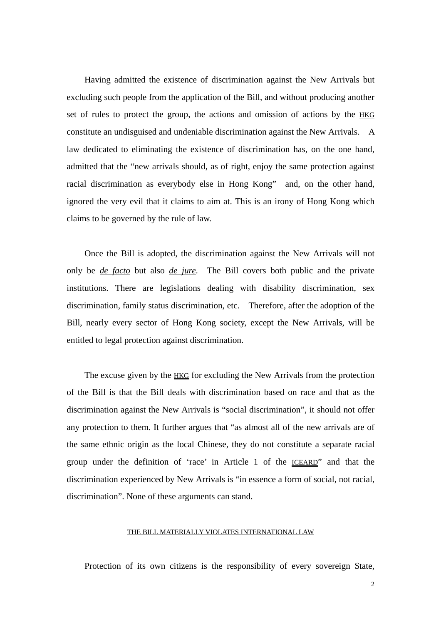Having admitted the existence of discrimination against the New Arrivals but excluding such people from the application of the Bill, and without producing another set of rules to protect the group, the actions and omission of actions by the HKG constitute an undisguised and undeniable discrimination against the New Arrivals. A law dedicated to eliminating the existence of discrimination has, on the one hand, admitted that the "new arrivals should, as of right, enjoy the same protection against racial discrimination as everybody else in Hong Kong" and, on the other hand, ignored the very evil that it claims to aim at. This is an irony of Hong Kong which claims to be governed by the rule of law.

 Once the Bill is adopted, the discrimination against the New Arrivals will not only be *de facto* but also *de jure*. The Bill covers both public and the private institutions. There are legislations dealing with disability discrimination, sex discrimination, family status discrimination, etc. Therefore, after the adoption of the Bill, nearly every sector of Hong Kong society, except the New Arrivals, will be entitled to legal protection against discrimination.

The excuse given by the **HKG** for excluding the New Arrivals from the protection of the Bill is that the Bill deals with discrimination based on race and that as the discrimination against the New Arrivals is "social discrimination", it should not offer any protection to them. It further argues that "as almost all of the new arrivals are of the same ethnic origin as the local Chinese, they do not constitute a separate racial group under the definition of 'race' in Article 1 of the ICEARD" and that the discrimination experienced by New Arrivals is "in essence a form of social, not racial, discrimination". None of these arguments can stand.

#### THE BILL MATERIALLY VIOLATES INTERNATIONAL LAW

Protection of its own citizens is the responsibility of every sovereign State,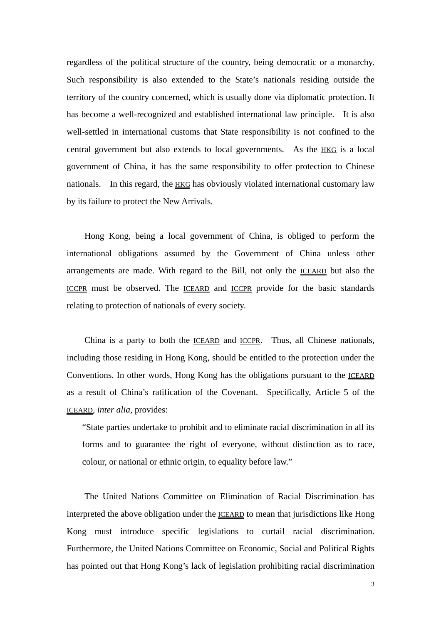regardless of the political structure of the country, being democratic or a monarchy. Such responsibility is also extended to the State's nationals residing outside the territory of the country concerned, which is usually done via diplomatic protection. It has become a well-recognized and established international law principle. It is also well-settled in international customs that State responsibility is not confined to the central government but also extends to local governments. As the HKG is a local government of China, it has the same responsibility to offer protection to Chinese nationals. In this regard, the HKG has obviously violated international customary law by its failure to protect the New Arrivals.

 Hong Kong, being a local government of China, is obliged to perform the international obligations assumed by the Government of China unless other arrangements are made. With regard to the Bill, not only the ICEARD but also the ICCPR must be observed. The ICEARD and ICCPR provide for the basic standards relating to protection of nationals of every society.

 China is a party to both the ICEARD and ICCPR. Thus, all Chinese nationals, including those residing in Hong Kong, should be entitled to the protection under the Conventions. In other words, Hong Kong has the obligations pursuant to the ICEARD as a result of China's ratification of the Covenant. Specifically, Article 5 of the ICEARD, *inter alia*, provides:

"State parties undertake to prohibit and to eliminate racial discrimination in all its forms and to guarantee the right of everyone, without distinction as to race, colour, or national or ethnic origin, to equality before law."

 The United Nations Committee on Elimination of Racial Discrimination has interpreted the above obligation under the ICEARD to mean that jurisdictions like Hong Kong must introduce specific legislations to curtail racial discrimination. Furthermore, the United Nations Committee on Economic, Social and Political Rights has pointed out that Hong Kong's lack of legislation prohibiting racial discrimination

3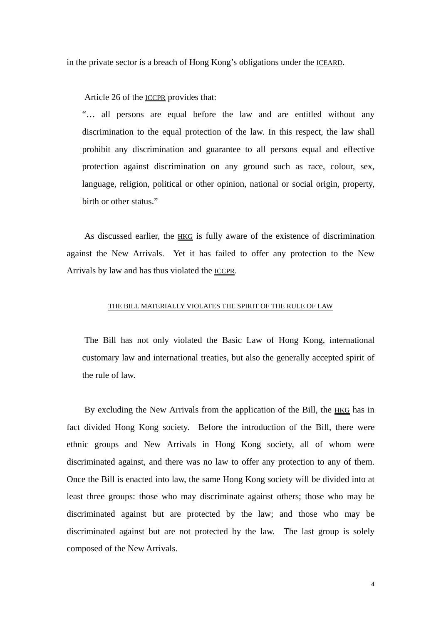in the private sector is a breach of Hong Kong's obligations under the ICEARD.

Article 26 of the ICCPR provides that:

"… all persons are equal before the law and are entitled without any discrimination to the equal protection of the law. In this respect, the law shall prohibit any discrimination and guarantee to all persons equal and effective protection against discrimination on any ground such as race, colour, sex, language, religion, political or other opinion, national or social origin, property, birth or other status."

 As discussed earlier, the HKG is fully aware of the existence of discrimination against the New Arrivals. Yet it has failed to offer any protection to the New Arrivals by law and has thus violated the ICCPR.

## THE BILL MATERIALLY VIOLATES THE SPIRIT OF THE RULE OF LAW

 The Bill has not only violated the Basic Law of Hong Kong, international customary law and international treaties, but also the generally accepted spirit of the rule of law.

 By excluding the New Arrivals from the application of the Bill, the HKG has in fact divided Hong Kong society. Before the introduction of the Bill, there were ethnic groups and New Arrivals in Hong Kong society, all of whom were discriminated against, and there was no law to offer any protection to any of them. Once the Bill is enacted into law, the same Hong Kong society will be divided into at least three groups: those who may discriminate against others; those who may be discriminated against but are protected by the law; and those who may be discriminated against but are not protected by the law. The last group is solely composed of the New Arrivals.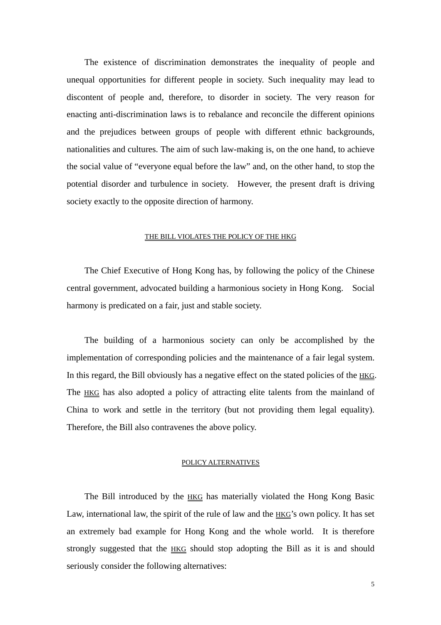The existence of discrimination demonstrates the inequality of people and unequal opportunities for different people in society. Such inequality may lead to discontent of people and, therefore, to disorder in society. The very reason for enacting anti-discrimination laws is to rebalance and reconcile the different opinions and the prejudices between groups of people with different ethnic backgrounds, nationalities and cultures. The aim of such law-making is, on the one hand, to achieve the social value of "everyone equal before the law" and, on the other hand, to stop the potential disorder and turbulence in society. However, the present draft is driving society exactly to the opposite direction of harmony.

## THE BILL VIOLATES THE POLICY OF THE HKG

 The Chief Executive of Hong Kong has, by following the policy of the Chinese central government, advocated building a harmonious society in Hong Kong. Social harmony is predicated on a fair, just and stable society.

 The building of a harmonious society can only be accomplished by the implementation of corresponding policies and the maintenance of a fair legal system. In this regard, the Bill obviously has a negative effect on the stated policies of the HKG. The HKG has also adopted a policy of attracting elite talents from the mainland of China to work and settle in the territory (but not providing them legal equality). Therefore, the Bill also contravenes the above policy.

## POLICY ALTERNATIVES

The Bill introduced by the **HKG** has materially violated the Hong Kong Basic Law, international law, the spirit of the rule of law and the  $HKG'$ s own policy. It has set an extremely bad example for Hong Kong and the whole world. It is therefore strongly suggested that the HKG should stop adopting the Bill as it is and should seriously consider the following alternatives: